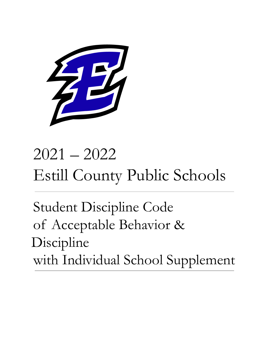

# 2021 – 2022 Estill County Public Schools

Student Discipline Code of Acceptable Behavior & Discipline with Individual School Supplement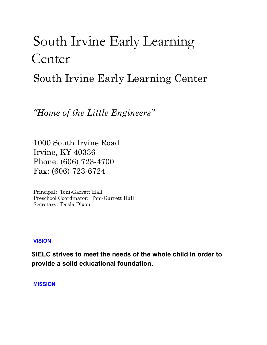# South Irvine Early Learning Center

South Irvine Early Learning Center

*"Home of the Little Engineers "*

1000 South Irvine Road Irvine, KY 40336 Phone: (606) 723-4700 Fax: (606) 723-6724

Principal: Toni-Garrett Hall Preschool Coordinator: Toni-Garrett Hall Secretary: Tessla Dixon

#### **VISION**

**SIELC strives to meet the needs of the whole child in order to provide a solid educational foundation.**

**MISSION**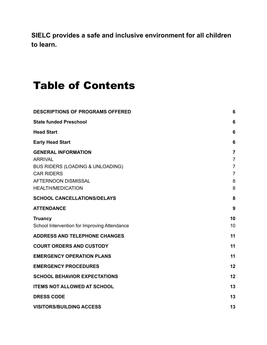**SIELC provides a safe and inclusive environment for all children to learn.**

# Table of Contents

| <b>DESCRIPTIONS OF PROGRAMS OFFERED</b>                          | 6                                         |
|------------------------------------------------------------------|-------------------------------------------|
| <b>State funded Preschool</b>                                    | 6                                         |
| <b>Head Start</b>                                                | 6                                         |
| <b>Early Head Start</b>                                          | 6                                         |
| <b>GENERAL INFORMATION</b><br><b>ARRIVAL</b>                     | $\overline{\mathbf{r}}$<br>$\overline{7}$ |
| <b>BUS RIDERS (LOADING &amp; UNLOADING)</b><br><b>CAR RIDERS</b> | $\overline{7}$<br>$\overline{7}$          |
| <b>AFTERNOON DISMISSAL</b><br><b>HEALTH/MEDICATION</b>           | 8<br>8                                    |
| <b>SCHOOL CANCELLATIONS/DELAYS</b>                               | 8                                         |
| <b>ATTENDANCE</b>                                                | 9                                         |
| <b>Truancy</b><br>School Intervention for Improving Attendance   | 10<br>10                                  |
| <b>ADDRESS AND TELEPHONE CHANGES</b>                             | 11                                        |
| <b>COURT ORDERS AND CUSTODY</b>                                  | 11                                        |
| <b>EMERGENCY OPERATION PLANS</b>                                 | 11                                        |
| <b>EMERGENCY PROCEDURES</b>                                      | 12                                        |
| <b>SCHOOL BEHAVIOR EXPECTATIONS</b>                              | 12                                        |
| <b>ITEMS NOT ALLOWED AT SCHOOL</b>                               | 13                                        |
| <b>DRESS CODE</b>                                                | 13                                        |
| <b>VISITORS/BUILDING ACCESS</b>                                  | 13                                        |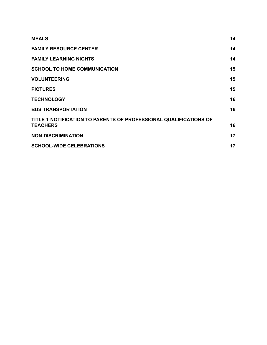| <b>MEALS</b>                                                                         | 14 |
|--------------------------------------------------------------------------------------|----|
| <b>FAMILY RESOURCE CENTER</b>                                                        | 14 |
| <b>FAMILY LEARNING NIGHTS</b>                                                        | 14 |
| <b>SCHOOL TO HOME COMMUNICATION</b>                                                  | 15 |
| <b>VOLUNTEERING</b>                                                                  | 15 |
| <b>PICTURES</b>                                                                      | 15 |
| <b>TECHNOLOGY</b>                                                                    | 16 |
| <b>BUS TRANSPORTATION</b>                                                            | 16 |
| TITLE 1-NOTIFICATION TO PARENTS OF PROFESSIONAL QUALIFICATIONS OF<br><b>TEACHERS</b> | 16 |
| <b>NON-DISCRIMINATION</b>                                                            | 17 |
| <b>SCHOOL-WIDE CELEBRATIONS</b>                                                      | 17 |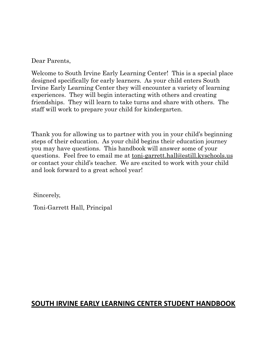Dear Parents,

Welcome to South Irvine Early Learning Center! This is a special place designed specifically for early learners. As your child enters South Irvine Early Learning Center they will encounter a variety of learning experiences. They will begin interacting with others and creating friendships. They will learn to take turns and share with others. The staff will work to prepare your child for kindergarten.

Thank you for allowing us to partner with you in your child's beginning steps of their education. As your child begins their education journey you may have questions. This handbook will answer some of your questions. Feel free to email me at toni-garrett.hall@estill.kyschools.us or contact your child's teacher. We are excited to work with your child and look forward to a great school year!

Sincerely,

Toni-Garrett Hall, Principal

# **SOUTH IRVINE EARLY LEARNING CENTER STUDENT HANDBOOK**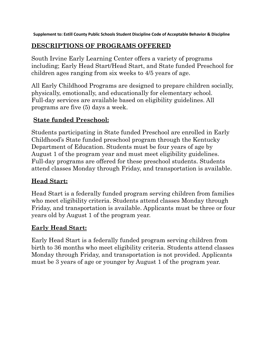**Supplement to: Estill County Public Schools Student Discipline Code of Acceptable Behavior & Discipline**

# <span id="page-5-0"></span>**DESCRIPTIONS OF PROGRAMS OFFERED**

South Irvine Early Learning Center offers a variety of programs including; Early Head Start/Head Start, and State funded Preschool for children ages ranging from six weeks to 4/5 years of age.

All Early Childhood Programs are designed to prepare children socially, physically, emotionally, and educationally for elementary school. Full-day services are available based on eligibility guidelines. All programs are five (5) days a week.

# <span id="page-5-1"></span>**State funded Preschool:**

Students participating in State funded Preschool are enrolled in Early Childhood's State funded preschool program through the Kentucky Department of Education. Students must be four years of age by August 1 of the program year and must meet eligibility guidelines. Full-day programs are offered for these preschool students. Students attend classes Monday through Friday, and transportation is available.

# <span id="page-5-2"></span>**Head Start:**

Head Start is a federally funded program serving children from families who meet eligibility criteria. Students attend classes Monday through Friday, and transportation is available. Applicants must be three or four years old by August 1 of the program year.

# <span id="page-5-3"></span>**Early Head Start:**

Early Head Start is a federally funded program serving children from birth to 36 months who meet eligibility criteria. Students attend classes Monday through Friday, and transportation is not provided. Applicants must be 3 years of age or younger by August 1 of the program year.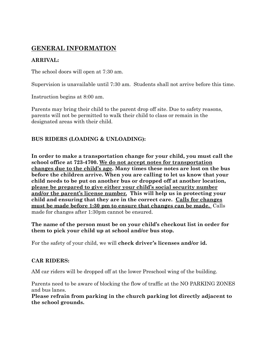# <span id="page-6-0"></span>**GENERAL INFORMATION**

#### <span id="page-6-1"></span>**ARRIVAL:**

The school doors will open at 7:30 am.

Supervision is unavailable until 7:30 am. Students shall not arrive before this time.

Instruction begins at 8:00 am.

Parents may bring their child to the parent drop off site. Due to safety reasons, parents will not be permitted to walk their child to class or remain in the designated areas with their child.

#### <span id="page-6-2"></span>**BUS RIDERS (LOADING & UNLOADING):**

**In order to make a transportation change for your child, you must call the school office at 723-4700. We do not accept notes for transportation changes due to the child's age. Many times these notes are lost on the bus before the children arrive. When you are calling to let us know that your child needs to be put on another bus or dropped off at another location, please be prepared to give either your child's social security number and/or the parent's license number. This will help us in protecting your child and ensuring that they are in the correct care. Calls for changes must be made before 1:30 pm to ensure that changes can be made.** Calls made for changes after 1:30pm cannot be ensured.

**The name of the person must be on your child's checkout list in order for them to pick your child up at school and/or bus stop.**

For the safety of your child, we will **check driver's licenses and/or id.**

#### <span id="page-6-3"></span>**CAR RIDERS:**

AM car riders will be dropped off at the lower Preschool wing of the building.

Parents need to be aware of blocking the flow of traffic at the NO PARKING ZONES and bus lanes.

**Please refrain from parking in the church parking lot directly adjacent to the school grounds.**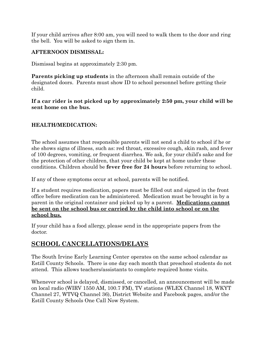If your child arrives after 8:00 am, you will need to walk them to the door and ring the bell. You will be asked to sign them in.

#### <span id="page-7-0"></span>**AFTERNOON DISMISSAL:**

Dismissal begins at approximately 2:30 pm.

**Parents picking up students** in the afternoon shall remain outside of the designated doors. Parents must show ID to school personnel before getting their child.

**If a car rider is not picked up by approximately 2:50 pm, your child will be sent home on the bus.**

#### <span id="page-7-1"></span>**HEALTH/MEDICATION:**

The school assumes that responsible parents will not send a child to school if he or she shows signs of illness, such as: red throat, excessive cough, skin rash, and fever of 100 degrees, vomiting, or frequent diarrhea. We ask, for your child's sake and for the protection of other children, that your child be kept at home under these conditions. Children should be **fever free for 24 hours** before returning to school.

If any of these symptoms occur at school, parents will be notified.

If a student requires medication, papers must be filled out and signed in the front office before medication can be administered. Medication must be brought in by a parent in the original container and picked up by a parent. **Medications cannot be sent on the school bus or carried by the child into school or on the school bus.**

If your child has a food allergy, please send in the appropriate papers from the doctor.

#### <span id="page-7-2"></span>**SCHOOL CANCELLATIONS/DELAYS**

The South Irvine Early Learning Center operates on the same school calendar as Estill County Schools. There is one day each month that preschool students do not attend. This allows teachers/assistants to complete required home visits.

Whenever school is delayed, dismissed, or cancelled, an announcement will be made on local radio (WIRV 1550 AM, 100.7 FM), TV stations (WLEX Channel 18, WKYT Channel 27, WTVQ Channel 36), District Website and Facebook pages, and/or the Estill County Schools One Call Now System.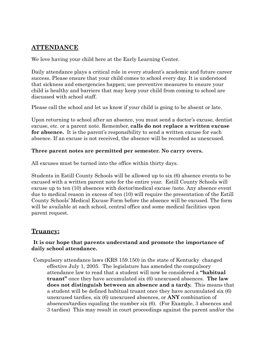#### <span id="page-8-0"></span>**ATTENDANCE**

We love having your child here at the Early Learning Center.

Daily attendance plays a critical role in every student's academic and future career success. Please ensure that your child comes to school every day. It is understood that sickness and emergencies happen; use preventive measures to ensure your child is healthy and barriers that may keep your child from coming to school are discussed with school staff.

Please call the school and let us know if your child is going to be absent or late.

Upon returning to school after an absence, you must send a doctor's excuse, dentist excuse, etc. or a parent note. Remember, **calls do not replace a written excuse for absence.** It is the parent's responsibility to send a written excuse for each absence. If an excuse is not received, the absence will be recorded as unexcused.

#### **Three parent notes are permitted per semester. No carry overs.**

All excuses must be turned into the office within thirty days.

Students in Estill County Schools will be allowed up to six (6) absence events to be excused with a written parent note for the entire year. Estill County Schools will excuse up to ten (10) absences with doctor/medical excuse /note. Any absence event due to medical reason in excess of ten (10) will require the presentation of the Estill County Schools' Medical Excuse Form before the absence will be excused. The form will be available at each school, central office and some medical facilities upon parent request.

#### <span id="page-8-1"></span>**Truancy:**

#### **It is our hope that parents understand and promote the importance of daily school attendance.**

Compulsory attendance laws (KRS 159.150) in the state of Kentucky changed effective July 1, 2005. The legislature has amended the compulsory attendance law to read that a student will now be considered a **"habitual truant"** once they have accumulated six (6) unexcused absences. **The law does not distinguish between an absence and a tardy.** This means that a student will be defined habitual truant once they have accumulated six (6) unexcused tardies, six (6) unexcused absences, or **ANY** combination of absences/tardies equaling the number six (6). (For Example, 3 absences and 3 tardies) This may result in court proceedings against the parent and/or the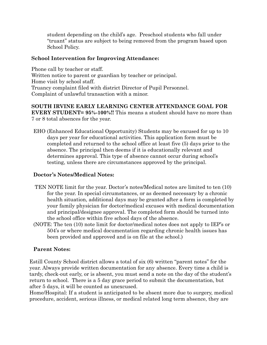student depending on the child's age. Preschool students who fall under "truant" status are subject to being removed from the program based upon School Policy.

#### <span id="page-9-0"></span>**School Intervention for Improving Attendance:**

Phone call by teacher or staff. Written notice to parent or guardian by teacher or principal. Home visit by school staff. Truancy complaint filed with district Director of Pupil Personnel. Complaint of unlawful transaction with a minor.

#### **SOUTH IRVINE EARLY LEARNING CENTER ATTENDANCE GOAL FOR EVERY STUDENT= 95%-100%!!** This means a student should have no more than

7 or 8 total absences for the year. EHO (Enhanced Educational Opportunity) Students may be excused for up to 10

days per year for educational activities. This application form must be completed and returned to the school office at least five (5) days prior to the absence. The principal then deems if it is educationally relevant and determines approval. This type of absence cannot occur during school's testing, unless there are circumstances approved by the principal.

#### **Doctor's Notes/Medical Notes:**

- TEN NOTE limit for the year. Doctor's notes/Medical notes are limited to ten (10) for the year. In special circumstances, or as deemed necessary by a chronic health situation, additional days may be granted after a form is completed by your family physician for doctor/medical excuses with medical documentation and principal/designee approval. The completed form should be turned into the school office within five school days of the absence.
- (NOTE: The ten (10) note limit for doctor/medical notes does not apply to IEP's or 504's or where medical documentation regarding chronic health issues has been provided and approved and is on file at the school.)

#### **Parent Notes:**

Estill County School district allows a total of six (6) written "parent notes" for the year. Always provide written documentation for any absence. Every time a child is tardy, check-out early, or is absent, you must send a note on the day of the student's return to school. There is a 5 day grace period to submit the documentation, but after 5 days, it will be counted as unexcused.

Home/Hospital: If a student is anticipated to be absent more due to surgery, medical procedure, accident, serious illness, or medical related long term absence, they are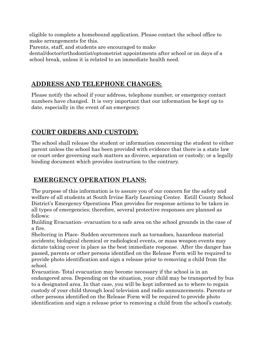eligible to complete a homebound application. Please contact the school office to make arrangements for this.

Parents, staff, and students are encouraged to make

<span id="page-10-0"></span>dental/doctor/orthodontist/optometrist appointments after school or on days of a school break, unless it is related to an immediate health need.

#### **ADDRESS AND TELEPHONE CHANGES:**

Please notify the school if your address, telephone number, or emergency contact numbers have changed. It is very important that our information be kept up to date, especially in the event of an emergency.

# <span id="page-10-1"></span>**COURT ORDERS AND CUSTODY:**

The school shall release the student or information concerning the student to either parent unless the school has been provided with evidence that there is a state law or court order governing such matters as divorce, separation or custody; or a legally binding document which provides instruction to the contrary.

# <span id="page-10-2"></span>**EMERGENCY OPERATION PLANS:**

The purpose of this information is to assure you of our concern for the safety and welfare of all students at South Irvine Early Learning Center. Estill County School District's Emergency Operations Plan provides for response actions to be taken in all types of emergencies; therefore, several protective responses are planned as follows:

Building Evacuation- evacuation to a safe area on the school grounds in the case of a fire.

Sheltering in Place- Sudden occurrences such as tornadoes, hazardous material accidents; biological chemical or radiological events, or mass weapon events may dictate taking cover in place as the best immediate response. After the danger has passed, parents or other persons identified on the Release Form will be required to provide photo identification and sign a release prior to removing a child from the school.

Evacuation- Total evacuation may become necessary if the school is in an endangered area. Depending on the situation, your child may be transported by bus to a designated area. In that case, you will be kept informed as to where to regain custody of your child through local television and radio announcements. Parents or other persons identified on the Release Form will be required to provide photo identification and sign a release prior to removing a child from the school's custody.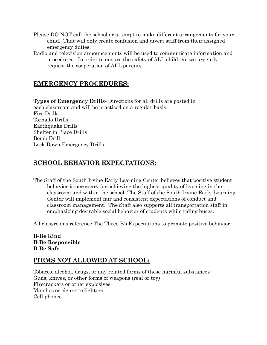- Please DO NOT call the school or attempt to make different arrangements for your child. That will only create confusion and divert staff from their assigned emergency duties.
- Radio and television announcements will be used to communicate information and procedures. In order to ensure the safety of ALL children, we urgently request the cooperation of ALL parents.

#### <span id="page-11-0"></span>**EMERGENCY PROCEDURES:**

**Types of Emergency Drills-** Directions for all drills are posted in each classroom and will be practiced on a regular basis. Fire Drills Tornado Drills Earthquake Drills Shelter in Place Drills Bomb Drill Lock Down Emergency Drills

#### <span id="page-11-1"></span>**SCHOOL BEHAVIOR EXPECTATIONS:**

The Staff of the South Irvine Early Learning Center believes that positive student behavior is necessary for achieving the highest quality of learning in the classroom and within the school. The Staff of the South Irvine Early Learning Center will implement fair and consistent expectations of conduct and classroom management. The Staff also supports all transportation staff in emphasizing desirable social behavior of students while riding buses.

All classrooms reference The Three B's Expectations to promote positive behavior.

#### **B-Be Kind B-Be Responsible B-Be Safe**

#### <span id="page-11-2"></span>**ITEMS NOT ALLOWED AT SCHOOL:**

Tobacco, alcohol, drugs, or any related forms of these harmful substances Guns, knives, or other forms of weapons (real or toy) Firecrackers or other explosives Matches or cigarette lighters Cell phones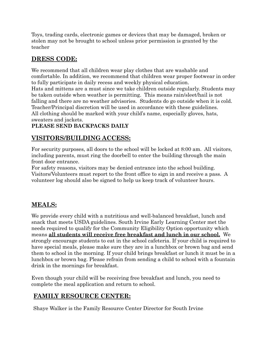Toys, trading cards, electronic games or devices that may be damaged, broken or stolen may not be brought to school unless prior permission is granted by the teacher

# <span id="page-12-0"></span>**DRESS CODE:**

We recommend that all children wear play clothes that are washable and comfortable. In addition, we recommend that children wear proper footwear in order to fully participate in daily recess and weekly physical education. Hats and mittens are a must since we take children outside regularly. Students may be taken outside when weather is permitting. This means rain/sleet/hail is not falling and there are no weather advisories. Students do go outside when it is cold. Teacher/Principal discretion will be used in accordance with these guidelines. All clothing should be marked with your child's name, especially gloves, hats, sweaters and jackets.

#### **PLEASE SEND BACKPACKS DAILY**

# <span id="page-12-1"></span>**VISITORS/BUILDING ACCESS:**

For security purposes, all doors to the school will be locked at 8:00 am. All visitors, including parents, must ring the doorbell to enter the building through the main front door entrance.

For safety reasons, visitors may be denied entrance into the school building. Visitors/Volunteers must report to the front office to sign in and receive a pass. A volunteer log should also be signed to help us keep track of volunteer hours.

#### <span id="page-12-2"></span>**MEALS:**

We provide every child with a nutritious and well-balanced breakfast, lunch and snack that meets USDA guidelines. South Irvine Early Learning Center met the needs required to qualify for the Community Eligibility Option opportunity which means **all students will receive free breakfast and lunch in our school.** We strongly encourage students to eat in the school cafeteria. If your child is required to have special meals, please make sure they are in a lunchbox or brown bag and send them to school in the morning. If your child brings breakfast or lunch it must be in a lunchbox or brown bag. Please refrain from sending a child to school with a fountain drink in the mornings for breakfast.

Even though your child will be receiving free breakfast and lunch, you need to complete the meal application and return to school.

# <span id="page-12-3"></span>**FAMILY RESOURCE CENTER:**

Shaye Walker is the Family Resource Center Director for South Irvine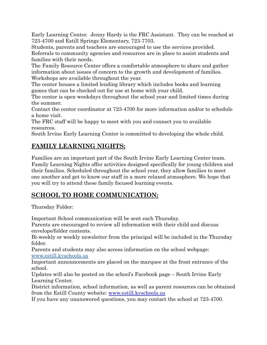Early Learning Center. Jenny Hardy is the FRC Assistant. They can be reached at 723-4700 and Estill Springs Elementary, 723-7703.

Students, parents and teachers are encouraged to use the services provided. Referrals to community agencies and resources are in place to assist students and families with their needs.

The Family Resource Center offers a comfortable atmosphere to share and gather information about issues of concern to the growth and development of families. Workshops are available throughout the year.

The center houses a limited lending library which includes books and learning games that can be checked out for use at home with your child.

The center is open weekdays throughout the school year and limited times during the summer.

Contact the center coordinator at 723-4700 for more information and/or to schedule a home visit.

The FRC staff will be happy to meet with you and connect you to available resources.

South Irvine Early Learning Center is committed to developing the whole child.

# <span id="page-13-0"></span>**FAMILY LEARNING NIGHTS:**

Families are an important part of the South Irvine Early Learning Center team. Family Learning Nights offer activities designed specifically for young children and their families. Scheduled throughout the school year, they allow families to meet one another and get to know our staff in a more relaxed atmosphere. We hope that you will try to attend these family focused learning events.

# <span id="page-13-1"></span>**SCHOOL TO HOME COMMUNICATION:**

Thursday Folder:

Important School communication will be sent each Thursday.

Parents are encouraged to review all information with their child and discuss envelope/folder contents.

Bi-weekly or weekly newsletter from the principal will be included in the Thursday folder.

Parents and students may also access information on the school webpage: [www.estill.kyschools.us](http://www.estill.kyschools.us)

Important announcements are placed on the marquee at the front entrance of the school.

Updates will also be posted on the school's Facebook page – South Irvine Early Learning Center.

District information, school information, as well as parent resources can be obtained from the Estill County website: [www.estill.kyschools.us](http://www.estill.kyschools.us)

If you have any unanswered questions, you may contact the school at 723-4700.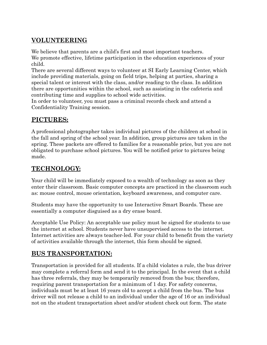# <span id="page-14-0"></span>**VOLUNTEERING**

We believe that parents are a child's first and most important teachers. We promote effective, lifetime participation in the education experiences of your child.

There are several different ways to volunteer at SI Early Learning Center, which include providing materials, going on field trips, helping at parties, sharing a special talent or interest with the class, and/or reading to the class. In addition there are opportunities within the school, such as assisting in the cafeteria and contributing time and supplies to school wide activities.

In order to volunteer, you must pass a criminal records check and attend a Confidentiality Training session.

#### <span id="page-14-1"></span>**PICTURES:**

A professional photographer takes individual pictures of the children at school in the fall and spring of the school year. In addition, group pictures are taken in the spring. These packets are offered to families for a reasonable price, but you are not obligated to purchase school pictures. You will be notified prior to pictures being made.

# <span id="page-14-2"></span>**TECHNOLOGY:**

Your child will be immediately exposed to a wealth of technology as soon as they enter their classroom. Basic computer concepts are practiced in the classroom such as: mouse control, mouse orientation, keyboard awareness, and computer care.

Students may have the opportunity to use Interactive Smart Boards. These are essentially a computer disguised as a dry erase board.

Acceptable Use Policy: An acceptable use policy must be signed for students to use the internet at school. Students never have unsupervised access to the internet. Internet activities are always teacher-led. For your child to benefit from the variety of activities available through the internet, this form should be signed.

# <span id="page-14-3"></span>**BUS TRANSPORTATION:**

Transportation is provided for all students. If a child violates a rule, the bus driver may complete a referral form and send it to the principal. In the event that a child has three referrals, they may be temporarily removed from the bus; therefore, requiring parent transportation for a minimum of 1 day. For safety concerns, individuals must be at least 16 years old to accept a child from the bus. The bus driver will not release a child to an individual under the age of 16 or an individual not on the student transportation sheet and/or student check out form. The state